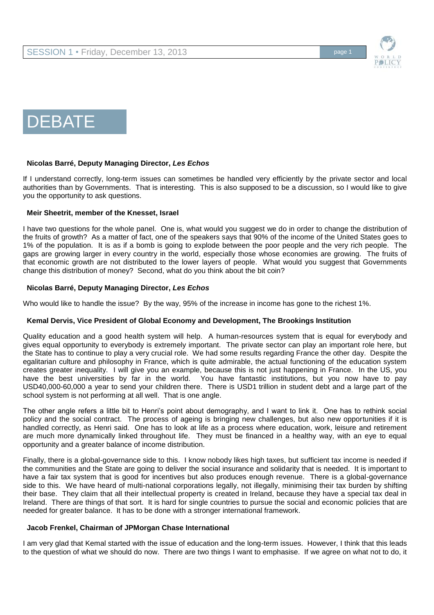



### **Nicolas Barré, Deputy Managing Director,** *Les Echos*

If I understand correctly, long-term issues can sometimes be handled very efficiently by the private sector and local authorities than by Governments. That is interesting. This is also supposed to be a discussion, so I would like to give you the opportunity to ask questions.

### **Meir Sheetrit, member of the Knesset, Israel**

I have two questions for the whole panel. One is, what would you suggest we do in order to change the distribution of the fruits of growth? As a matter of fact, one of the speakers says that 90% of the income of the United States goes to 1% of the population. It is as if a bomb is going to explode between the poor people and the very rich people. The gaps are growing larger in every country in the world, especially those whose economies are growing. The fruits of that economic growth are not distributed to the lower layers of people. What would you suggest that Governments change this distribution of money? Second, what do you think about the bit coin?

## **Nicolas Barré, Deputy Managing Director,** *Les Echos*

Who would like to handle the issue? By the way, 95% of the increase in income has gone to the richest 1%.

### **Kemal Dervis, Vice President of Global Economy and Development, The Brookings Institution**

Quality education and a good health system will help. A human-resources system that is equal for everybody and gives equal opportunity to everybody is extremely important. The private sector can play an important role here, but the State has to continue to play a very crucial role. We had some results regarding France the other day. Despite the egalitarian culture and philosophy in France, which is quite admirable, the actual functioning of the education system creates greater inequality. I will give you an example, because this is not just happening in France. In the US, you have the best universities by far in the world. You have fantastic institutions, but you now have to pay USD40,000-60,000 a year to send your children there. There is USD1 trillion in student debt and a large part of the school system is not performing at all well. That is one angle.

The other angle refers a little bit to Henri's point about demography, and I want to link it. One has to rethink social policy and the social contract. The process of ageing is bringing new challenges, but also new opportunities if it is handled correctly, as Henri said. One has to look at life as a process where education, work, leisure and retirement are much more dynamically linked throughout life. They must be financed in a healthy way, with an eye to equal opportunity and a greater balance of income distribution.

Finally, there is a global-governance side to this. I know nobody likes high taxes, but sufficient tax income is needed if the communities and the State are going to deliver the social insurance and solidarity that is needed. It is important to have a fair tax system that is good for incentives but also produces enough revenue. There is a global-governance side to this. We have heard of multi-national corporations legally, not illegally, minimising their tax burden by shifting their base. They claim that all their intellectual property is created in Ireland, because they have a special tax deal in Ireland. There are things of that sort. It is hard for single countries to pursue the social and economic policies that are needed for greater balance. It has to be done with a stronger international framework.

### **Jacob Frenkel, Chairman of JPMorgan Chase International**

I am very glad that Kemal started with the issue of education and the long-term issues. However, I think that this leads to the question of what we should do now. There are two things I want to emphasise. If we agree on what not to do, it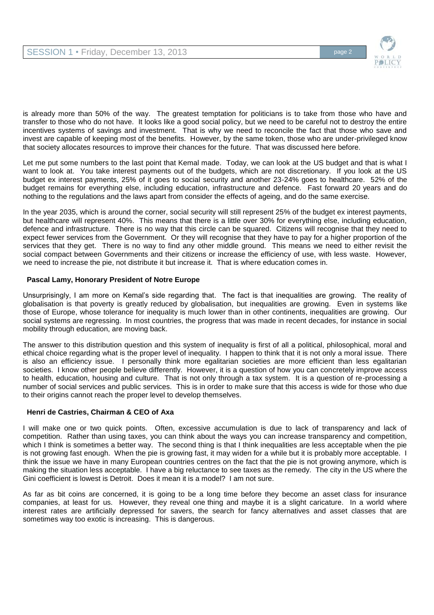

is already more than 50% of the way. The greatest temptation for politicians is to take from those who have and transfer to those who do not have. It looks like a good social policy, but we need to be careful not to destroy the entire incentives systems of savings and investment. That is why we need to reconcile the fact that those who save and invest are capable of keeping most of the benefits. However, by the same token, those who are under-privileged know that society allocates resources to improve their chances for the future. That was discussed here before.

Let me put some numbers to the last point that Kemal made. Today, we can look at the US budget and that is what I want to look at. You take interest payments out of the budgets, which are not discretionary. If you look at the US budget ex interest payments, 25% of it goes to social security and another 23-24% goes to healthcare. 52% of the budget remains for everything else, including education, infrastructure and defence. Fast forward 20 years and do nothing to the regulations and the laws apart from consider the effects of ageing, and do the same exercise.

In the year 2035, which is around the corner, social security will still represent 25% of the budget ex interest payments, but healthcare will represent 40%. This means that there is a little over 30% for everything else, including education, defence and infrastructure. There is no way that this circle can be squared. Citizens will recognise that they need to expect fewer services from the Government. Or they will recognise that they have to pay for a higher proportion of the services that they get. There is no way to find any other middle ground. This means we need to either revisit the social compact between Governments and their citizens or increase the efficiency of use, with less waste. However, we need to increase the pie, not distribute it but increase it. That is where education comes in.

# **Pascal Lamy, Honorary President of Notre Europe**

Unsurprisingly, I am more on Kemal's side regarding that. The fact is that inequalities are growing. The reality of globalisation is that poverty is greatly reduced by globalisation, but inequalities are growing. Even in systems like those of Europe, whose tolerance for inequality is much lower than in other continents, inequalities are growing. Our social systems are regressing. In most countries, the progress that was made in recent decades, for instance in social mobility through education, are moving back.

The answer to this distribution question and this system of inequality is first of all a political, philosophical, moral and ethical choice regarding what is the proper level of inequality. I happen to think that it is not only a moral issue. There is also an efficiency issue. I personally think more egalitarian societies are more efficient than less egalitarian societies. I know other people believe differently. However, it is a question of how you can concretely improve access to health, education, housing and culture. That is not only through a tax system. It is a question of re-processing a number of social services and public services. This is in order to make sure that this access is wide for those who due to their origins cannot reach the proper level to develop themselves.

### **Henri de Castries, Chairman & CEO of Axa**

I will make one or two quick points. Often, excessive accumulation is due to lack of transparency and lack of competition. Rather than using taxes, you can think about the ways you can increase transparency and competition, which I think is sometimes a better way. The second thing is that I think inequalities are less acceptable when the pie is not growing fast enough. When the pie is growing fast, it may widen for a while but it is probably more acceptable. I think the issue we have in many European countries centres on the fact that the pie is not growing anymore, which is making the situation less acceptable. I have a big reluctance to see taxes as the remedy. The city in the US where the Gini coefficient is lowest is Detroit. Does it mean it is a model? I am not sure.

As far as bit coins are concerned, it is going to be a long time before they become an asset class for insurance companies, at least for us. However, they reveal one thing and maybe it is a slight caricature. In a world where interest rates are artificially depressed for savers, the search for fancy alternatives and asset classes that are sometimes way too exotic is increasing. This is dangerous.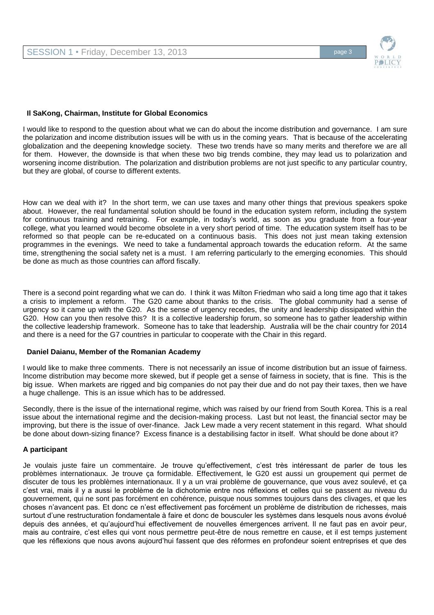

### **Il SaKong, Chairman, Institute for Global Economics**

I would like to respond to the question about what we can do about the income distribution and governance. I am sure the polarization and income distribution issues will be with us in the coming years. That is because of the accelerating globalization and the deepening knowledge society. These two trends have so many merits and therefore we are all for them. However, the downside is that when these two big trends combine, they may lead us to polarization and worsening income distribution. The polarization and distribution problems are not just specific to any particular country, but they are global, of course to different extents.

How can we deal with it? In the short term, we can use taxes and many other things that previous speakers spoke about. However, the real fundamental solution should be found in the education system reform, including the system for continuous training and retraining. For example, in today's world, as soon as you graduate from a four-year college, what you learned would become obsolete in a very short period of time. The education system itself has to be reformed so that people can be re-educated on a continuous basis. This does not just mean taking extension programmes in the evenings. We need to take a fundamental approach towards the education reform. At the same time, strengthening the social safety net is a must. I am referring particularly to the emerging economies. This should be done as much as those countries can afford fiscally.

There is a second point regarding what we can do. I think it was Milton Friedman who said a long time ago that it takes a crisis to implement a reform. The G20 came about thanks to the crisis. The global community had a sense of urgency so it came up with the G20. As the sense of urgency recedes, the unity and leadership dissipated within the G20. How can you then resolve this? It is a collective leadership forum, so someone has to gather leadership within the collective leadership framework. Someone has to take that leadership. Australia will be the chair country for 2014 and there is a need for the G7 countries in particular to cooperate with the Chair in this regard.

### **Daniel Daianu, Member of the Romanian Academy**

I would like to make three comments. There is not necessarily an issue of income distribution but an issue of fairness. Income distribution may become more skewed, but if people get a sense of fairness in society, that is fine. This is the big issue. When markets are rigged and big companies do not pay their due and do not pay their taxes, then we have a huge challenge. This is an issue which has to be addressed.

Secondly, there is the issue of the international regime, which was raised by our friend from South Korea. This is a real issue about the international regime and the decision-making process. Last but not least, the financial sector may be improving, but there is the issue of over-finance. Jack Lew made a very recent statement in this regard. What should be done about down-sizing finance? Excess finance is a destabilising factor in itself. What should be done about it?

#### **A participant**

Je voulais juste faire un commentaire. Je trouve qu'effectivement, c'est très intéressant de parler de tous les problèmes internationaux. Je trouve ça formidable. Effectivement, le G20 est aussi un groupement qui permet de discuter de tous les problèmes internationaux. Il y a un vrai problème de gouvernance, que vous avez soulevé, et ça c'est vrai, mais il y a aussi le problème de la dichotomie entre nos réflexions et celles qui se passent au niveau du gouvernement, qui ne sont pas forcément en cohérence, puisque nous sommes toujours dans des clivages, et que les choses n'avancent pas. Et donc ce n'est effectivement pas forcément un problème de distribution de richesses, mais surtout d'une restructuration fondamentale à faire et donc de bousculer les systèmes dans lesquels nous avons évolué depuis des années, et qu'aujourd'hui effectivement de nouvelles émergences arrivent. Il ne faut pas en avoir peur, mais au contraire, c'est elles qui vont nous permettre peut-être de nous remettre en cause, et il est temps justement que les réflexions que nous avons aujourd'hui fassent que des réformes en profondeur soient entreprises et que des